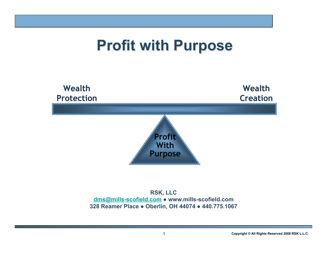# **Profit with Purpose**



**RSK, LLC dms@mills-scofield.com ● www.mills-scofield.com 328 Reamer Place ● Oberlin, OH 44074 ● 440.775.1067**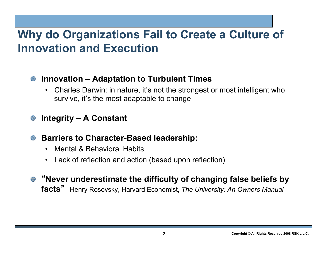### **Why do Organizations Fail to Create a Culture of Innovation and Execution**

### **Innovation – Adaptation to Turbulent Times**

• Charles Darwin: in nature, it's not the strongest or most intelligent who survive, it's the most adaptable to change

### **Integrity – A Constant**

- **8** Barriers to Character-Based leadership:
	- Mental & Behavioral Habits
	- Lack of reflection and action (based upon reflection)
- "**Never underestimate the difficulty of changing false beliefs by facts**" Henry Rosovsky, Harvard Economist, *The University: An Owners Manual*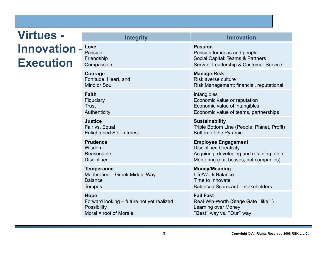### **Virtues - Innovation – Execution**

| шкедику                                   | <u>IIIIIVvalivii</u>                        |
|-------------------------------------------|---------------------------------------------|
| Love                                      | <b>Passion</b>                              |
| Passion                                   | Passion for ideas and people                |
| Friendship                                | Social Capital: Teams & Partners            |
| Compassion                                | Servant Leadership & Customer Service       |
| Courage                                   | <b>Manage Risk</b>                          |
| Fortitude, Heart, and                     | Risk averse culture                         |
| Mind or Soul                              | Risk Management: financial, reputational    |
| <b>Faith</b>                              | Intangibles                                 |
| Fiduciary                                 | Economic value or reputation                |
| Trust                                     | Economic value of intangibles               |
| <b>Authenticity</b>                       | Economic value of teams, partnerships       |
| Justice                                   | <b>Sustainability</b>                       |
| Fair vs. Equal                            | Triple Bottom Line (People, Planet, Profit) |
| <b>Enlightened Self-Interest</b>          | Bottom of the Pyramid                       |
| <b>Prudence</b>                           | <b>Employee Engagement</b>                  |
| Wisdom                                    | <b>Disciplined Creativity</b>               |
| Reasonable                                | Acquiring, developing and retaining talent  |
| <b>Disciplined</b>                        | Mentoring (quit bosses, not companies)      |
| Temperance                                | <b>Money/Meaning</b>                        |
| Moderation - Greek Middle Way             | Life/Work Balance                           |
| <b>Balance</b>                            | Time to Innovate                            |
| <b>Tempus</b>                             | Balanced Scorecard - stakeholders           |
| <b>Hope</b>                               | <b>Fail Fast</b>                            |
| Forward looking - future not yet realized | Real-Win-Worth (Stage Gate "like")          |
| Possibility                               | Learning over Money                         |
| Moral = root of Morale                    | "Best" way vs. "Our" way                    |
|                                           |                                             |

**Integrity Innovation**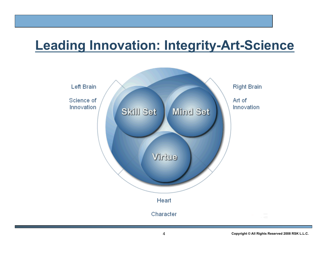## **Leading Innovation: Integrity-Art-Science**

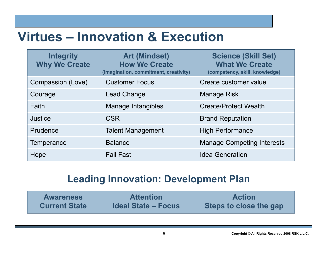## **Virtues – Innovation & Execution**

| <b>Integrity</b><br><b>Why We Create</b> | <b>Art (Mindset)</b><br><b>How We Create</b><br>(imagination, commitment, creativity) | <b>Science (Skill Set)</b><br><b>What We Create</b><br>(competency, skill, knowledge) |
|------------------------------------------|---------------------------------------------------------------------------------------|---------------------------------------------------------------------------------------|
| Compassion (Love)                        | <b>Customer Focus</b>                                                                 | Create customer value                                                                 |
| Courage                                  | <b>Lead Change</b>                                                                    | <b>Manage Risk</b>                                                                    |
| Faith                                    | Manage Intangibles                                                                    | <b>Create/Protect Wealth</b>                                                          |
| Justice                                  | <b>CSR</b>                                                                            | <b>Brand Reputation</b>                                                               |
| Prudence                                 | <b>Talent Management</b>                                                              | <b>High Performance</b>                                                               |
| Temperance                               | <b>Balance</b>                                                                        | <b>Manage Competing Interests</b>                                                     |
| Hope                                     | <b>Fail Fast</b>                                                                      | <b>Idea Generation</b>                                                                |

### **Leading Innovation: Development Plan**

| <b>Awareness</b>     | <b>Attention</b>           | <b>Action</b>          |
|----------------------|----------------------------|------------------------|
| <b>Current State</b> | <b>Ideal State – Focus</b> | Steps to close the gap |

5 **Copyright © All Rights Reserved 2008 RSK L.L.C.**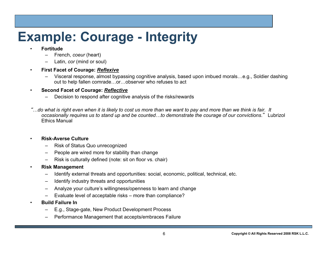# **Example: Courage - Integrity**

#### • **Fortitude**

- French, *coeur* (heart)
- Latin, *cor* (mind or soul)
- **First Facet of Courage:** *Reflexive* 
	- Visceral response, almost bypassing cognitive analysis, based upon imbued morals…e.g., Soldier dashing out to help fallen comrade…or…observer who refuses to act

#### • **Second Facet of Courage:** *Reflective*

- Decision to respond after cognitive analysis of the risks/rewards
- "*…do what is right even when it is likely to cost us more than we want to pay and more than we think is fair. It occasionally requires us to stand up and be counted…to demonstrate the courage of our convictions*." Lubrizol Ethics Manual

#### • **Risk-Averse Culture**

- Risk of Status Quo unrecognized
- People are wired more for stability than change
- Risk is culturally defined (note: sit on floor vs. chair)
- **Risk Management** 
	- Identify external threats and opportunities: social, economic, political, technical, etc.
	- Identify industry threats and opportunities
	- Analyze your culture's willingness/openness to learn and change
	- Evaluate level of acceptable risks more than compliance?
	- **Build Failure In** 
		- E.g., Stage-gate, New Product Development Process
		- Performance Management that accepts/embraces Failure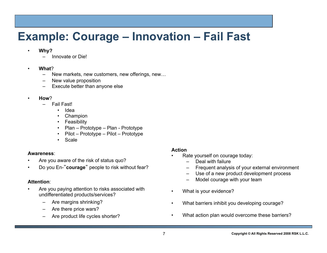### **Example: Courage – Innovation – Fail Fast**

- **Why?** 
	- Innovate or Die!
- **What**?
	- New markets, new customers, new offerings, new…
	- New value proposition
	- Execute better than anyone else
- **How**?
	- Fail Fast!
		- Idea
		- Champion
		- Feasibility
		- Plan Prototype Plan Prototype
		- Pilot Prototype Pilot Prototype
		- Scale

#### **Awareness**:

- Are you aware of the risk of status quo?
- Do you En-"**courage**" people to risk without fear?

#### **Attention**:

- Are you paying attention to risks associated with undifferentiated products/services?
	- Are margins shrinking?
	- Are there price wars?
	- Are product life cycles shorter?

#### **Action**

- Rate yourself on courage today:
	- Deal with failure
	- Frequent analysis of your external environment
	- Use of a new product development process
	- Model courage with your team
- What is your evidence?
- What barriers inhibit you developing courage?
- What action plan would overcome these barriers?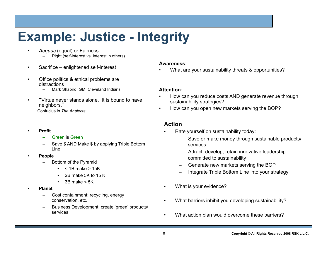# **Example: Justice - Integrity**

- *Aequus* (equal) or Fairness Right (self-interest vs. interest in others)
- Sacrifice enlightened self-interest
- Office politics & ethical problems are distractions
	- Mark Shapiro, GM, Cleveland Indians
- "Virtue never stands alone. It is bound to have neighbors."

Confucius in *The Analects* 

- **Profit** 
	- Green is Green
	- Save \$ AND Make \$ by applying Triple Bottom Line
- **People** 
	- Bottom of the Pyramid
		- $\cdot$  < 1B make > 15K
		- 2B make 5K to 15 K
		- $\cdot$  3B make  $\leq$  5K
- **Planet** 
	- Cost containment: recycling, energy conservation, etc.
	- Business Development: create 'green' products/ services

#### **Awareness**:

• What are your sustainability threats & opportunities?

#### **Attention**:

- How can you reduce costs AND generate revenue through sustainability strategies?
- How can you open new markets serving the BOP?

#### **Action**

- Rate yourself on sustainability today:
	- Save or make money through sustainable products/ services
	- Attract, develop, retain innovative leadership committed to sustainability
	- Generate new markets serving the BOP
	- Integrate Triple Bottom Line into your strategy
- What is your evidence?
- What barriers inhibit you developing sustainability?
- What action plan would overcome these barriers?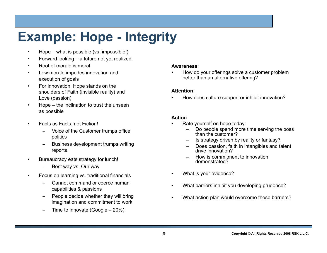# **Example: Hope - Integrity**

- Hope what is possible (vs. impossible!)
- Forward looking a future not yet realized
- Root of morale is moral
- Low morale impedes innovation and execution of goals
- For innovation, Hope stands on the shoulders of Faith (invisible reality) and Love (passion)
- Hope the inclination to trust the unseen as possible
- Facts as Facts, not Fiction!
	- Voice of the Customer trumps office politics
	- Business development trumps writing reports
- Bureaucracy eats strategy for lunch!
	- Best way vs. Our way
- Focus on learning vs. traditional financials
	- Cannot command or coerce human capabilities & passions
	- People decide whether they will bring imagination and commitment to work
	- Time to innovate (Google  $-20\%$ )

#### **Awareness**:

• How do your offerings solve a customer problem better than an alternative offering?

#### **Attention**:

• How does culture support or inhibit innovation?

#### **Action**

- Rate yourself on hope today:
	- Do people spend more time serving the boss than the customer?
	- Is strategy driven by reality or fantasy?
	- Does passion, faith in intangibles and talent drive innovation?
	- How is commitment to innovation demonstrated?
- What is your evidence?
- What barriers inhibit you developing prudence?
- What action plan would overcome these barriers?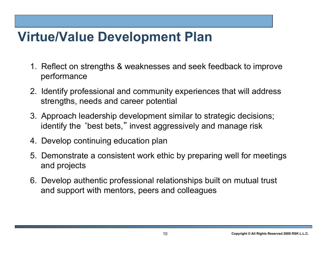## **Virtue/Value Development Plan**

- 1. Reflect on strengths & weaknesses and seek feedback to improve performance
- 2. Identify professional and community experiences that will address strengths, needs and career potential
- 3. Approach leadership development similar to strategic decisions; identify the ʻbest bets," invest aggressively and manage risk
- 4. Develop continuing education plan
- 5. Demonstrate a consistent work ethic by preparing well for meetings and projects
- 6. Develop authentic professional relationships built on mutual trust and support with mentors, peers and colleagues